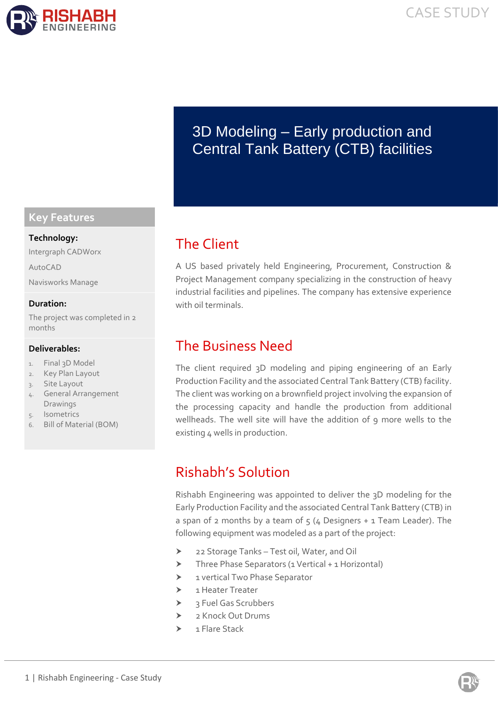

# 3D Modeling – Early production and Central Tank Battery (CTB) facilities

## The Client

A US based privately held Engineering, Procurement, Construction & Project Management company specializing in the construction of heavy industrial facilities and pipelines. The company has extensive experience with oil terminals.

## The Business Need

The client required 3D modeling and piping engineering of an Early Production Facility and the associated Central Tank Battery (CTB) facility. The client was working on a brownfield project involving the expansion of the processing capacity and handle the production from additional wellheads. The well site will have the addition of 9 more wells to the existing 4 wells in production.

# Rishabh's Solution

Rishabh Engineering was appointed to deliver the 3D modeling for the Early Production Facility and the associated Central Tank Battery (CTB) in a span of 2 months by a team of  $5$  (4 Designers + 1 Team Leader). The following equipment was modeled as a part of the project:

- 22 Storage Tanks Test oil, Water, and Oil
- Three Phase Separators (1 Vertical + 1 Horizontal)
- > 1 vertical Two Phase Separator
- > 1 Heater Treater
- 3 Fuel Gas Scrubbers
- $\sum_{n=1}^{\infty}$  Knock Out Drums
- $\leftarrow$  1 Flare Stack

### **Key Features**

#### **Technology:**

Intergraph CADWorx

AutoCAD

Navisworks Manage

#### **Duration:**

The project was completed in 2 months

#### **Deliverables:**

- 1. Final 3D Model
- 2. Key Plan Layout
- 3. Site Layout
- 4. General Arrangement Drawings
- **Isometrics**
- 6. Bill of Material (BOM)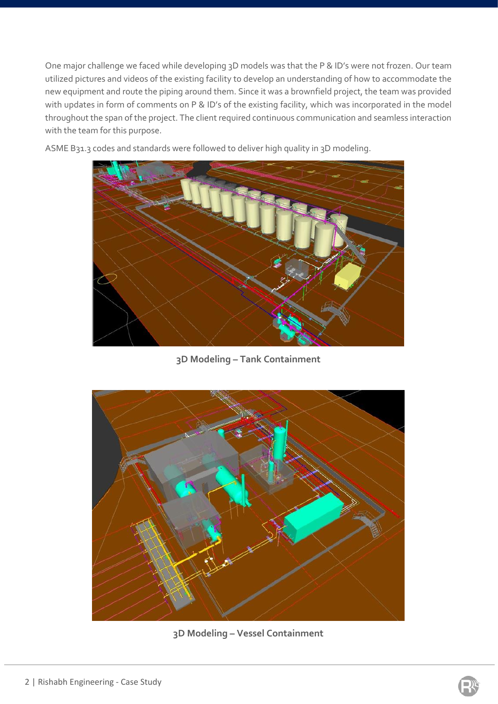One major challenge we faced while developing 3D models was that the P & ID's were not frozen. Our team utilized pictures and videos of the existing facility to develop an understanding of how to accommodate the new equipment and route the piping around them. Since it was a brownfield project, the team was provided with updates in form of comments on P & ID's of the existing facility, which was incorporated in the model throughout the span of the project. The client required continuous communication and seamless interaction with the team for this purpose.



ASME B31.3 codes and standards were followed to deliver high quality in 3D modeling.

**3D Modeling – Tank Containment**



**3D Modeling – Vessel Containment**